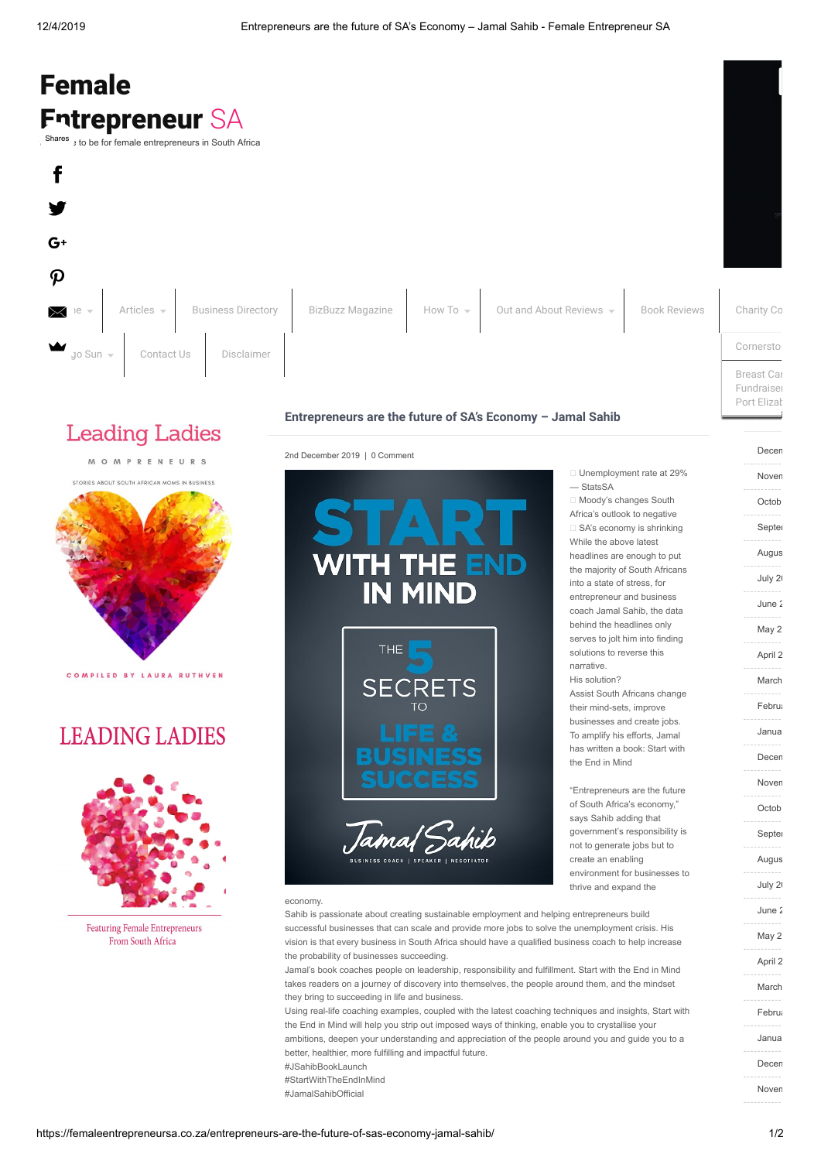